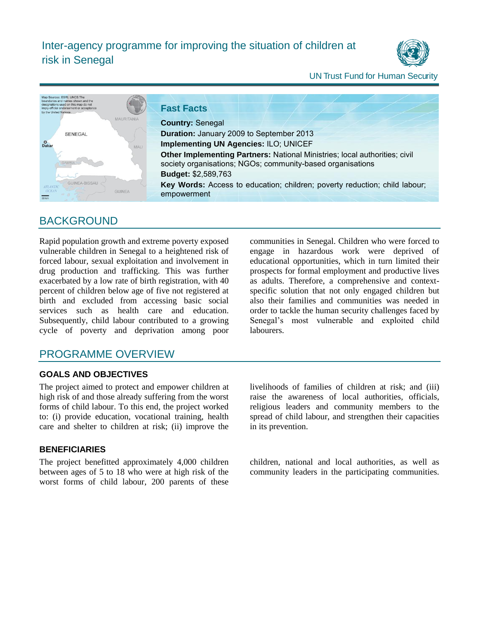

### UN Trust Fund for Human Security



# **BACKGROUND**

Rapid population growth and extreme poverty exposed vulnerable children in Senegal to a heightened risk of forced labour, sexual exploitation and involvement in drug production and trafficking. This was further exacerbated by a low rate of birth registration, with 40 percent of children below age of five not registered at birth and excluded from accessing basic social services such as health care and education. Subsequently, child labour contributed to a growing cycle of poverty and deprivation among poor communities in Senegal. Children who were forced to engage in hazardous work were deprived of educational opportunities, which in turn limited their prospects for formal employment and productive lives as adults. Therefore, a comprehensive and contextspecific solution that not only engaged children but also their families and communities was needed in order to tackle the human security challenges faced by Senegal's most vulnerable and exploited child labourers.

## PROGRAMME OVERVIEW

## **GOALS AND OBJECTIVES**

The project aimed to protect and empower children at high risk of and those already suffering from the worst forms of child labour. To this end, the project worked to: (i) provide education, vocational training, health care and shelter to children at risk; (ii) improve the

### **BENEFICIARIES**

The project benefitted approximately 4,000 children between ages of 5 to 18 who were at high risk of the worst forms of child labour, 200 parents of these livelihoods of families of children at risk; and (iii) raise the awareness of local authorities, officials, religious leaders and community members to the spread of child labour, and strengthen their capacities in its prevention.

children, national and local authorities, as well as community leaders in the participating communities.